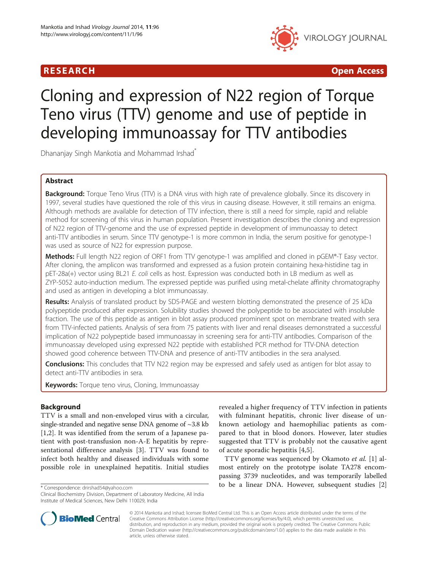



# Cloning and expression of N22 region of Torque Teno virus (TTV) genome and use of peptide in developing immunoassay for TTV antibodies

Dhananjay Singh Mankotia and Mohammad Irshad\*

# Abstract

Background: Torque Teno Virus (TTV) is a DNA virus with high rate of prevalence globally. Since its discovery in 1997, several studies have questioned the role of this virus in causing disease. However, it still remains an enigma. Although methods are available for detection of TTV infection, there is still a need for simple, rapid and reliable method for screening of this virus in human population. Present investigation describes the cloning and expression of N22 region of TTV-genome and the use of expressed peptide in development of immunoassay to detect anti-TTV antibodies in serum. Since TTV genotype-1 is more common in India, the serum positive for genotype-1 was used as source of N22 for expression purpose.

Methods: Full length N22 region of ORF1 from TTV genotype-1 was amplified and cloned in pGEM®-T Easy vector. After cloning, the amplicon was transformed and expressed as a fusion protein containing hexa-histidine tag in pET-28a(+) vector using BL21 E. coli cells as host. Expression was conducted both in LB medium as well as ZYP-5052 auto-induction medium. The expressed peptide was purified using metal-chelate affinity chromatography and used as antigen in developing a blot immunoassay.

Results: Analysis of translated product by SDS-PAGE and western blotting demonstrated the presence of 25 kDa polypeptide produced after expression. Solubility studies showed the polypeptide to be associated with insoluble fraction. The use of this peptide as antigen in blot assay produced prominent spot on membrane treated with sera from TTV-infected patients. Analysis of sera from 75 patients with liver and renal diseases demonstrated a successful implication of N22 polypeptide based immunoassay in screening sera for anti-TTV antibodies. Comparison of the immunoassay developed using expressed N22 peptide with established PCR method for TTV-DNA detection showed good coherence between TTV-DNA and presence of anti-TTV antibodies in the sera analysed.

**Conclusions:** This concludes that TTV N22 region may be expressed and safely used as antigen for blot assay to detect anti-TTV antibodies in sera.

**Keywords:** Torque teno virus, Cloning, Immunoassay

# **Background**

TTV is a small and non-enveloped virus with a circular, single-stranded and negative sense DNA genome of ~3.8 kb [[1](#page-6-0)[,2](#page-7-0)]. It was identified from the serum of a Japanese patient with post-transfusion non-A-E hepatitis by representational difference analysis [[3\]](#page-7-0). TTV was found to infect both healthy and diseased individuals with some possible role in unexplained hepatitis. Initial studies

revealed a higher frequency of TTV infection in patients with fulminant hepatitis, chronic liver disease of unknown aetiology and haemophiliac patients as compared to that in blood donors. However, later studies suggested that TTV is probably not the causative agent of acute sporadic hepatitis [\[4](#page-7-0),[5\]](#page-7-0).

TTV genome was sequenced by Okamoto et al. [[1\]](#page-6-0) almost entirely on the prototype isolate TA278 encompassing 3739 nucleotides, and was temporarily labelled \*Correspondence: [drirshad54@yahoo.com](mailto:drirshad54@yahoo.com) **the correspondence:** drirshad54@yahoo.com **the correspondence:** drirshad54@yahoo.com



© 2014 Mankotia and Irshad; licensee BioMed Central Ltd. This is an Open Access article distributed under the terms of the Creative Commons Attribution License (<http://creativecommons.org/licenses/by/4.0>), which permits unrestricted use, distribution, and reproduction in any medium, provided the original work is properly credited. The Creative Commons Public Domain Dedication waiver [\(http://creativecommons.org/publicdomain/zero/1.0/\)](http://creativecommons.org/publicdomain/zero/1.0/) applies to the data made available in this article, unless otherwise stated.

Clinical Biochemistry Division, Department of Laboratory Medicine, All India Institute of Medical Sciences, New Delhi 110029, India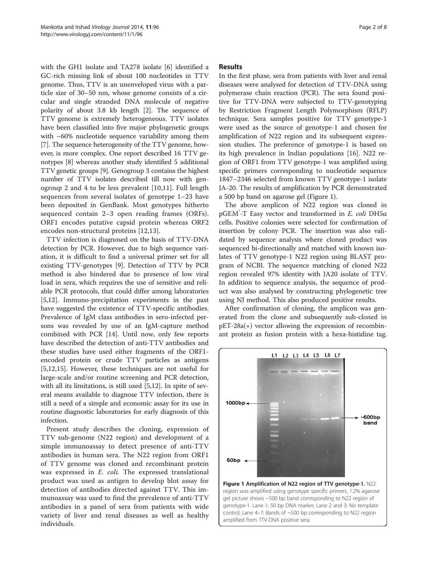with the GH1 isolate and TA278 isolate [[6\]](#page-7-0) identified a GC-rich missing link of about 100 nucleotides in TTV genome. Thus, TTV is an unenveloped virus with a particle size of 30–50 nm, whose genome consists of a circular and single stranded DNA molecule of negative polarity of about 3.8 kb length [\[2](#page-7-0)]. The sequence of TTV genome is extremely heterogeneous. TTV isolates have been classified into five major phylogenetic groups with  $~60\%$  nucleotide sequence variability among them [[7\]](#page-7-0). The sequence heterogeneity of the TTV genome, however, is more complex. One report described 16 TTV genotypes [\[8](#page-7-0)] whereas another study identified 5 additional TTV genetic groups [[9](#page-7-0)]. Genogroup 3 contains the highest number of TTV isolates described till now with genogroup 2 and 4 to be less prevalent [[10,11](#page-7-0)]. Full length sequences from several isolates of genotype 1–23 have been deposited in GenBank. Most genotypes hitherto sequenced contain 2–3 open reading frames (ORFs). ORF1 encodes putative capsid protein whereas ORF2 encodes non-structural proteins [[12,13\]](#page-7-0).

TTV infection is diagnosed on the basis of TTV-DNA detection by PCR. However, due to high sequence variation, it is difficult to find a universal primer set for all existing TTV-genotypes [[9](#page-7-0)]. Detection of TTV by PCR method is also hindered due to presence of low viral load in sera, which requires the use of sensitive and reliable PCR protocols, that could differ among laboratories [[5,12\]](#page-7-0). Immuno-precipitation experiments in the past have suggested the existence of TTV-specific antibodies. Prevalence of IgM class antibodies in sero-infected persons was revealed by use of an IgM-capture method combined with PCR [[14](#page-7-0)]. Until now, only few reports have described the detection of anti-TTV antibodies and these studies have used either fragments of the ORF1 encoded protein or crude TTV particles as antigens [[5,12,15\]](#page-7-0). However, these techniques are not useful for large-scale and/or routine screening and PCR detection, with all its limitations, is still used [[5,12\]](#page-7-0). In spite of several means available to diagnose TTV infection, there is still a need of a simple and economic assay for its use in routine diagnostic laboratories for early diagnosis of this infection.

Present study describes the cloning, expression of TTV sub-genome (N22 region) and development of a simple immunoassay to detect presence of anti-TTV antibodies in human sera. The N22 region from ORF1 of TTV genome was cloned and recombinant protein was expressed in *E. coli.* The expressed translational product was used as antigen to develop blot assay for detection of antibodies directed against TTV. This immunoassay was used to find the prevalence of anti-TTV antibodies in a panel of sera from patients with wide variety of liver and renal diseases as well as healthy individuals.

# **Results**

In the first phase, sera from patients with liver and renal diseases were analysed for detection of TTV-DNA using polymerase chain reaction (PCR). The sera found positive for TTV-DNA were subjected to TTV-genotyping by Restriction Fragment Length Polymorphism (RFLP) technique. Sera samples positive for TTV genotype-1 were used as the source of genotype-1 and chosen for amplification of N22 region and its subsequent expression studies. The preference of genotype-1 is based on its high prevalence in Indian populations [\[16\]](#page-7-0). N22 region of ORF1 from TTV genotype-1 was amplified using specific primers corresponding to nucleotide sequence 1847–2346 selected from known TTV genotype-1 isolate JA-20. The results of amplification by PCR demonstrated a 500 bp band on agarose gel (Figure 1).

The above amplicon of N22 region was cloned in pGEM<sup>®</sup>-T Easy vector and transformed in E. coli DH5α cells. Positive colonies were selected for confirmation of insertion by colony PCR. The insertion was also validated by sequence analysis where cloned product was sequenced bi-directionally and matched with known isolates of TTV genotype-1 N22 region using BLAST program of NCBI. The sequence matching of cloned N22 region revealed 97% identity with JA20 isolate of TTV. In addition to sequence analysis, the sequence of product was also analysed by constructing phylogenetic tree using NJ method. This also produced positive results.

After confirmation of cloning, the amplicon was generated from the clone and subsequently sub-cloned in pET-28a(+) vector allowing the expression of recombinant protein as fusion protein with a hexa-histidine tag.



region was amplified using genotype specific primers. 1.2% agarose gel picture shows ~500 bp band corresponding to N22 region of genotype-1. Lane 1: 50 bp DNA marker; Lane 2 and 3: No template control; Lane 4–7: Bands of ~500 bp corresponding to N22 region amplified from TTV-DNA positive sera.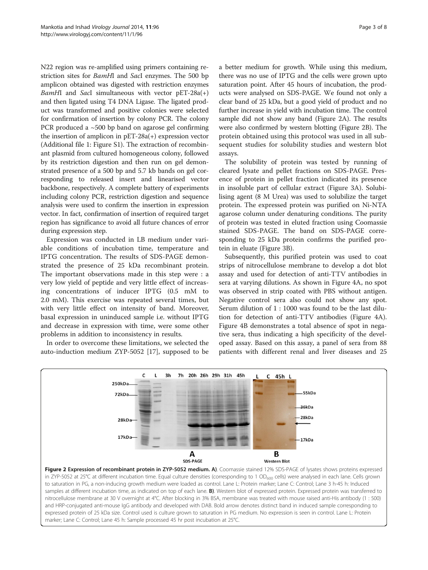N22 region was re-amplified using primers containing restriction sites for BamHI and SacI enzymes. The 500 bp amplicon obtained was digested with restriction enzymes BamHI and SacI simultaneous with vector  $pET-28a(+)$ and then ligated using T4 DNA Ligase. The ligated product was transformed and positive colonies were selected for confirmation of insertion by colony PCR. The colony PCR produced a  $\sim$ 500 bp band on agarose gel confirming the insertion of amplicon in pET-28a(+) expression vector (Additional file [1:](#page-6-0) Figure S1). The extraction of recombinant plasmid from cultured homogeneous colony, followed by its restriction digestion and then run on gel demonstrated presence of a 500 bp and 5.7 kb bands on gel corresponding to released insert and linearised vector backbone, respectively. A complete battery of experiments including colony PCR, restriction digestion and sequence analysis were used to confirm the insertion in expression vector. In fact, confirmation of insertion of required target region has significance to avoid all future chances of error during expression step.

Expression was conducted in LB medium under variable conditions of incubation time, temperature and IPTG concentration. The results of SDS-PAGE demonstrated the presence of 25 kDa recombinant protein. The important observations made in this step were : a very low yield of peptide and very little effect of increasing concentrations of inducer IPTG (0.5 mM to 2.0 mM). This exercise was repeated several times, but with very little effect on intensity of band. Moreover, basal expression in uninduced sample i.e. without IPTG and decrease in expression with time, were some other problems in addition to inconsistency in results.

In order to overcome these limitations, we selected the auto-induction medium ZYP-5052 [[17](#page-7-0)], supposed to be

a better medium for growth. While using this medium, there was no use of IPTG and the cells were grown upto saturation point. After 45 hours of incubation, the products were analysed on SDS-PAGE. We found not only a clear band of 25 kDa, but a good yield of product and no further increase in yield with incubation time. The control sample did not show any band (Figure 2A). The results were also confirmed by western blotting (Figure 2B). The protein obtained using this protocol was used in all subsequent studies for solubility studies and western blot assays.

The solubility of protein was tested by running of cleared lysate and pellet fractions on SDS-PAGE. Presence of protein in pellet fraction indicated its presence in insoluble part of cellular extract (Figure [3](#page-3-0)A). Solubilising agent (8 M Urea) was used to solubilize the target protein. The expressed protein was purified on Ni-NTA agarose column under denaturing conditions. The purity of protein was tested in eluted fraction using Coomassie stained SDS-PAGE. The band on SDS-PAGE corresponding to 25 kDa protein confirms the purified protein in eluate (Figure [3](#page-3-0)B).

Subsequently, this purified protein was used to coat strips of nitrocellulose membrane to develop a dot blot assay and used for detection of anti-TTV antibodies in sera at varying dilutions. As shown in Figure [4](#page-3-0)A, no spot was observed in strip coated with PBS without antigen. Negative control sera also could not show any spot. Serum dilution of 1 : 1000 was found to be the last dilution for detection of anti-TTV antibodies (Figure [4](#page-3-0)A). Figure [4B](#page-3-0) demonstrates a total absence of spot in negative sera, thus indicating a high specificity of the developed assay. Based on this assay, a panel of sera from 88 patients with different renal and liver diseases and 25



samples at different incubation time, as indicated on top of each lane. B). Western blot of expressed protein. Expressed protein was transferred to nitrocellulose membrane at 30 V overnight at 4°C. After blocking in 3% BSA, membrane was treated with mouse raised anti-His antibody (1 : 500) and HRP-conjugated anti-mouse IgG antibody and developed with DAB. Bold arrow denotes distinct band in induced sample corresponding to expressed protein of 25 kDa size. Control used is culture grown to saturation in PG medium. No expression is seen in control. Lane L: Protein marker; Lane C: Control; Lane 45 h: Sample processed 45 hr post incubation at 25°C.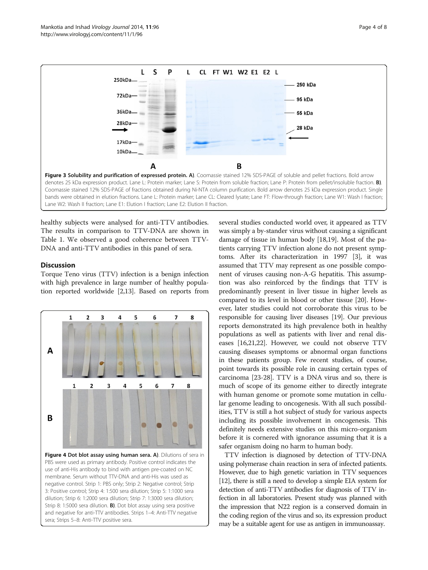healthy subjects were analysed for anti-TTV antibodies. The results in comparison to TTV-DNA are shown in Table [1.](#page-4-0) We observed a good coherence between TTV-DNA and anti-TTV antibodies in this panel of sera.

Lane W2: Wash II fraction; Lane E1: Elution I fraction; Lane E2: Elution II fraction.

Δ

L

<span id="page-3-0"></span>250kDa-

 $72kDa$ 

36kDa

28kDa

17kDa 10kDa

## **Discussion**

Torque Teno virus (TTV) infection is a benign infection with high prevalence in large number of healthy population reported worldwide [[2,13](#page-7-0)]. Based on reports from



several studies conducted world over, it appeared as TTV was simply a by-stander virus without causing a significant damage of tissue in human body [\[18,19\]](#page-7-0). Most of the patients carrying TTV infection alone do not present symptoms. After its characterization in 1997 [[3\]](#page-7-0), it was assumed that TTV may represent as one possible component of viruses causing non-A-G hepatitis. This assumption was also reinforced by the findings that TTV is predominantly present in liver tissue in higher levels as compared to its level in blood or other tissue [\[20](#page-7-0)]. However, later studies could not corroborate this virus to be responsible for causing liver diseases [[19](#page-7-0)]. Our previous reports demonstrated its high prevalence both in healthy populations as well as patients with liver and renal diseases [[16,21,22\]](#page-7-0). However, we could not observe TTV causing diseases symptoms or abnormal organ functions in these patients group. Few recent studies, of course, point towards its possible role in causing certain types of carcinoma [\[23-28](#page-7-0)]. TTV is a DNA virus and so, there is much of scope of its genome either to directly integrate with human genome or promote some mutation in cellular genome leading to oncogenesis. With all such possibilities, TTV is still a hot subject of study for various aspects including its possible involvement in oncogenesis. This definitely needs extensive studies on this micro-organism before it is cornered with ignorance assuming that it is a safer organism doing no harm to human body.

TTV infection is diagnosed by detection of TTV-DNA using polymerase chain reaction in sera of infected patients. However, due to high genetic variation in TTV sequences [[12](#page-7-0)], there is still a need to develop a simple EIA system for detection of anti-TTV antibodies for diagnosis of TTV infection in all laboratories. Present study was planned with the impression that N22 region is a conserved domain in the coding region of the virus and so, its expression product may be a suitable agent for use as antigen in immunoassay.



28 kDa

Figure 3 Solubility and purification of expressed protein. A). Coomassie stained 12% SDS-PAGE of soluble and pellet fractions. Bold arrow denotes 25 kDa expression product. Lane L: Protein marker; Lane S: Protein from soluble fraction; Lane P: Protein from pellet/insoluble fraction. **B**). Coomassie stained 12% SDS-PAGE of fractions obtained during Ni-NTA column purification. Bold arrow denotes 25 kDa expression product. Single bands were obtained in elution fractions. Lane L: Protein marker; Lane CL: Cleared lysate; Lane FT: Flow-through fraction; Lane W1: Wash I fraction;

B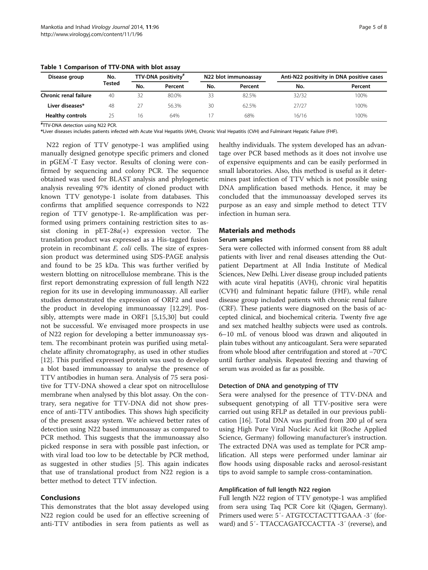| Disease group           | No.<br>Tested | TTV-DNA positivity# |         | N22 blot immunoassay |         | Anti-N22 positivity in DNA positive cases |         |
|-------------------------|---------------|---------------------|---------|----------------------|---------|-------------------------------------------|---------|
|                         |               | No.                 | Percent | No.                  | Percent | No.                                       | Percent |
| Chronic renal failure   | 40            | 32                  | 80.0%   | 33                   | 82.5%   | 32/32                                     | 100%    |
| Liver diseases*         | 48            | 27                  | 56.3%   | 30                   | 62.5%   | 27/27                                     | 100%    |
| <b>Healthy controls</b> | 25            | 16                  | 64%     |                      | 68%     | 16/16                                     | 100%    |

<span id="page-4-0"></span>Table 1 Comparison of TTV-DNA with blot assay

# TTV-DNA detection using N22 PCR.

\*Liver diseases includes patients infected with Acute Viral Hepatitis (AVH), Chronic Viral Hepatitis (CVH) and Fulminant Hepatic Failure (FHF).

N22 region of TTV genotype-1 was amplified using manually designed genotype specific primers and cloned in pGEM<sup>\*</sup>-T Easy vector. Results of cloning were confirmed by sequencing and colony PCR. The sequence obtained was used for BLAST analysis and phylogenetic analysis revealing 97% identity of cloned product with known TTV genotype-1 isolate from databases. This confirms that amplified sequence corresponds to N22 region of TTV genotype-1. Re-amplification was performed using primers containing restriction sites to assist cloning in pET-28a(+) expression vector. The translation product was expressed as a His-tagged fusion protein in recombinant E. coli cells. The size of expression product was determined using SDS-PAGE analysis and found to be 25 kDa. This was further verified by western blotting on nitrocellulose membrane. This is the first report demonstrating expression of full length N22 region for its use in developing immunoassay. All earlier studies demonstrated the expression of ORF2 and used the product in developing immunoassay [[12,29\]](#page-7-0). Possibly, attempts were made in ORF1 [\[5,15,30\]](#page-7-0) but could not be successful. We envisaged more prospects in use of N22 region for developing a better immunoassay system. The recombinant protein was purified using metalchelate affinity chromatography, as used in other studies [[12\]](#page-7-0). This purified expressed protein was used to develop a blot based immunoassay to analyse the presence of TTV antibodies in human sera. Analysis of 75 sera positive for TTV-DNA showed a clear spot on nitrocellulose membrane when analysed by this blot assay. On the contrary, sera negative for TTV-DNA did not show presence of anti-TTV antibodies. This shows high specificity of the present assay system. We achieved better rates of detection using N22 based immunoassay as compared to PCR method. This suggests that the immunoassay also picked response in sera with possible past infection, or with viral load too low to be detectable by PCR method, as suggested in other studies [\[5\]](#page-7-0). This again indicates that use of translational product from N22 region is a better method to detect TTV infection.

# Conclusions

This demonstrates that the blot assay developed using N22 region could be used for an effective screening of anti-TTV antibodies in sera from patients as well as

healthy individuals. The system developed has an advantage over PCR based methods as it does not involve use of expensive equipments and can be easily performed in small laboratories. Also, this method is useful as it determines past infection of TTV which is not possible using DNA amplification based methods. Hence, it may be concluded that the immunoassay developed serves its purpose as an easy and simple method to detect TTV infection in human sera.

# Materials and methods

#### Serum samples

Sera were collected with informed consent from 88 adult patients with liver and renal diseases attending the Outpatient Department at All India Institute of Medical Sciences, New Delhi. Liver disease group included patients with acute viral hepatitis (AVH), chronic viral hepatitis (CVH) and fulminant hepatic failure (FHF), while renal disease group included patients with chronic renal failure (CRF). These patients were diagnosed on the basis of accepted clinical, and biochemical criteria. Twenty five age and sex matched healthy subjects were used as controls. 6–10 mL of venous blood was drawn and aliqouted in plain tubes without any anticoagulant. Sera were separated from whole blood after centrifugation and stored at −70°C until further analysis. Repeated freezing and thawing of serum was avoided as far as possible.

### Detection of DNA and genotyping of TTV

Sera were analysed for the presence of TTV-DNA and subsequent genotyping of all TTV-positive sera were carried out using RFLP as detailed in our previous publication [\[16](#page-7-0)]. Total DNA was purified from 200 μl of sera using High Pure Viral Nucleic Acid kit (Roche Applied Science, Germany) following manufacturer's instruction. The extracted DNA was used as template for PCR amplification. All steps were performed under laminar air flow hoods using disposable racks and aerosol-resistant tips to avoid sample to sample cross-contamination.

## Amplification of full length N22 region

Full length N22 region of TTV genotype-1 was amplified from sera using Taq PCR Core kit (Qiagen, Germany). Primers used were: 5′- ATGTCCTACTTTGAAA -3′ (forward) and 5′- TTACCAGATCCACTTA -3′ (reverse), and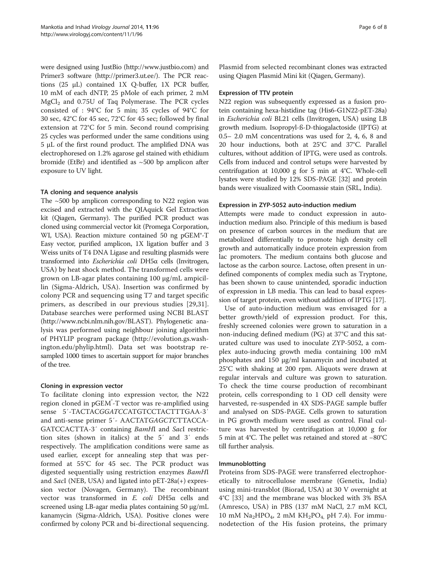were designed using JustBio [\(http://www.justbio.com\)](http://www.justbio.com) and Primer3 software [\(http://primer3.ut.ee/](http://primer3.ut.ee/)). The PCR reactions (25 μL) contained 1X Q-buffer, 1X PCR buffer, 10 mM of each dNTP, 25 pMole of each primer, 2 mM  $MgCl<sub>2</sub>$  and 0.75U of Taq Polymerase. The PCR cycles consisted of : 94°C for 5 min; 35 cycles of 94°C for 30 sec, 42°C for 45 sec, 72°C for 45 sec; followed by final extension at 72°C for 5 min. Second round comprising 25 cycles was performed under the same conditions using 5 μL of the first round product. The amplified DNA was electrophoresed on 1.2% agarose gel stained with ethidium bromide (EtBr) and identified as  $\sim$  500 bp amplicon after exposure to UV light.

# TA cloning and sequence analysis

The  $\sim$  500 bp amplicon corresponding to N22 region was excised and extracted with the QIAquick Gel Extraction kit (Qiagen, Germany). The purified PCR product was cloned using commercial vector kit (Promega Corporation, WI, USA). Reaction mixture contained 50 ng pGEM®-T Easy vector, purified amplicon, 1X ligation buffer and 3 Weiss units of T4 DNA Ligase and resulting plasmids were transformed into Escherichia coli DH5α cells (Invitrogen, USA) by heat shock method. The transformed cells were grown on LB-agar plates containing 100 μg/mL ampicillin (Sigma-Aldrich, USA). Insertion was confirmed by colony PCR and sequencing using T7 and target specific primers, as described in our previous studies [[29,31](#page-7-0)]. Database searches were performed using NCBI BLAST (<http://www.ncbi.nlm.nih.gov/BLAST>). Phylogenetic analysis was performed using neighbour joining algorithm of PHYLIP program package ([http://evolution.gs.wash](http://evolution.gs.washington.edu/phylip.html)[ington.edu/phylip.html](http://evolution.gs.washington.edu/phylip.html)). Data set was bootstrap resampled 1000 times to ascertain support for major branches of the tree.

# Cloning in expression vector

To facilitate cloning into expression vector, the N22 region cloned in pGEM<sup>\*</sup>-T vector was re-amplified using sense 5′-TACTACGGATCCATGTCCTACTTTGAA-3′ and anti-sense primer 5′- AACTATGAGCTCTTACCA-GATCCACTTA-3′ containing BamHI and SacI restriction sites (shown in italics) at the 5′ and 3′ ends respectively. The amplification conditions were same as used earlier, except for annealing step that was performed at 55°C for 45 sec. The PCR product was digested sequentially using restriction enzymes BamHI and SacI (NEB, USA) and ligated into pET-28a(+) expression vector (Novagen, Germany). The recombinant vector was transformed in E. coli DH5α cells and screened using LB-agar media plates containing 50 μg/mL kanamycin (Sigma-Aldrich, USA). Positive clones were confirmed by colony PCR and bi-directional sequencing. Plasmid from selected recombinant clones was extracted using Qiagen Plasmid Mini kit (Qiagen, Germany).

# Expression of TTV protein

N22 region was subsequently expressed as a fusion protein containing hexa-histidine tag (His6-G1N22-pET-28a) in Escherichia coli BL21 cells (Invitrogen, USA) using LB growth medium. Isopropyl-ß-D-thiogalactoside (IPTG) at 0.5– 2.0 mM concentrations was used for 2, 4, 6, 8 and 20 hour inductions, both at 25°C and 37°C. Parallel cultures, without addition of IPTG, were used as controls. Cells from induced and control setups were harvested by centrifugation at 10,000 g for 5 min at 4°C. Whole-cell lysates were studied by 12% SDS-PAGE [[32](#page-7-0)] and protein bands were visualized with Coomassie stain (SRL, India).

# Expression in ZYP-5052 auto-induction medium

Attempts were made to conduct expression in autoinduction medium also. Principle of this medium is based on presence of carbon sources in the medium that are metabolized differentially to promote high density cell growth and automatically induce protein expression from lac promoters. The medium contains both glucose and lactose as the carbon source. Lactose, often present in undefined components of complex media such as Tryptone, has been shown to cause unintended, sporadic induction of expression in LB media. This can lead to basal expression of target protein, even without addition of IPTG [\[17\]](#page-7-0).

Use of auto-induction medium was envisaged for a better growth/yield of expression product. For this, freshly screened colonies were grown to saturation in a non-inducing defined medium (PG) at 37°C and this saturated culture was used to inoculate ZYP-5052, a complex auto-inducing growth media containing 100 mM phosphates and 150 μg/ml kanamycin and incubated at 25°C with shaking at 200 rpm. Aliquots were drawn at regular intervals and culture was grown to saturation. To check the time course production of recombinant protein, cells corresponding to 1 OD cell density were harvested, re-suspended in 4X SDS-PAGE sample buffer and analysed on SDS-PAGE. Cells grown to saturation in PG growth medium were used as control. Final culture was harvested by centrifugation at 10,000 g for 5 min at 4°C. The pellet was retained and stored at −80°C till further analysis.

# Immunoblotting

Proteins from SDS-PAGE were transferred electrophoretically to nitrocellulose membrane (Genetix, India) using mini-transblot (Biorad, USA) at 30 V overnight at 4°C [\[33](#page-7-0)] and the membrane was blocked with 3% BSA (Amresco, USA) in PBS (137 mM NaCl, 2.7 mM KCl, 10 mM  $\text{Na}_2\text{HPO}_4$ , 2 mM  $\text{KH}_2\text{PO}_4$ , pH 7.4). For immunodetection of the His fusion proteins, the primary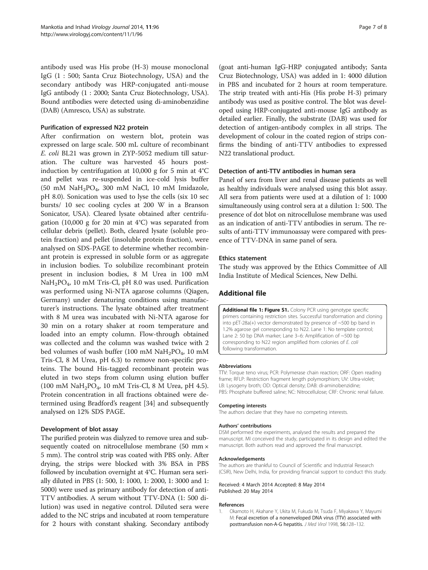<span id="page-6-0"></span>antibody used was His probe (H-3) mouse monoclonal IgG (1 : 500; Santa Cruz Biotechnology, USA) and the secondary antibody was HRP-conjugated anti-mouse IgG antibody (1 : 2000; Santa Cruz Biotechnology, USA). Bound antibodies were detected using di-aminobenzidine (DAB) (Amresco, USA) as substrate.

# Purification of expressed N22 protein

After confirmation on western blot, protein was expressed on large scale. 500 mL culture of recombinant E. coli BL21 was grown in ZYP-5052 medium till saturation. The culture was harvested 45 hours postinduction by centrifugation at 10,000 g for 5 min at 4°C and pellet was re-suspended in ice-cold lysis buffer (50 mM  $\text{NaH}_2\text{PO}_4$ , 300 mM NaCl, 10 mM Imidazole, pH 8.0). Sonication was used to lyse the cells (six 10 sec bursts/ 10 sec cooling cycles at 200 W in a Branson Sonicator, USA). Cleared lysate obtained after centrifugation (10,000 g for 20 min at  $4^{\circ}$ C) was separated from cellular debris (pellet). Both, cleared lysate (soluble protein fraction) and pellet (insoluble protein fraction), were analysed on SDS-PAGE to determine whether recombinant protein is expressed in soluble form or as aggregate in inclusion bodies. To solubilize recombinant protein present in inclusion bodies, 8 M Urea in 100 mM  $NaH<sub>2</sub>PO<sub>4</sub>$ , 10 mM Tris-Cl, pH 8.0 was used. Purification was performed using Ni-NTA agarose columns (Qiagen, Germany) under denaturing conditions using manufacturer's instructions. The lysate obtained after treatment with 8 M urea was incubated with Ni-NTA agarose for 30 min on a rotary shaker at room temperature and loaded into an empty column. Flow-through obtained was collected and the column was washed twice with 2 bed volumes of wash buffer (100 mM  $\text{NaH}_2\text{PO}_4$ , 10 mM Tris-Cl, 8 M Urea, pH 6.3) to remove non-specific proteins. The bound His-tagged recombinant protein was eluted in two steps from column using elution buffer (100 mM  $\text{NaH}_2\text{PO}_4$ , 10 mM Tris-Cl, 8 M Urea, pH 4.5). Protein concentration in all fractions obtained were determined using Bradford's reagent [\[34\]](#page-7-0) and subsequently analysed on 12% SDS PAGE.

## Development of blot assay

The purified protein was dialyzed to remove urea and subsequently coated on nitrocellulose membrane (50 mm  $\times$ 5 mm). The control strip was coated with PBS only. After drying, the strips were blocked with 3% BSA in PBS followed by incubation overnight at 4°C. Human sera serially diluted in PBS (1: 500, 1: 1000, 1: 2000, 1: 3000 and 1: 5000) were used as primary antibody for detection of anti-TTV antibodies. A serum without TTV-DNA (1: 500 dilution) was used in negative control. Diluted sera were added to the NC strips and incubated at room temperature for 2 hours with constant shaking. Secondary antibody (goat anti-human IgG-HRP conjugated antibody; Santa Cruz Biotechnology, USA) was added in 1: 4000 dilution in PBS and incubated for 2 hours at room temperature. The strip treated with anti-His (His probe H-3) primary antibody was used as positive control. The blot was developed using HRP-conjugated anti-mouse IgG antibody as detailed earlier. Finally, the substrate (DAB) was used for detection of antigen-antibody complex in all strips. The development of colour in the coated region of strips confirms the binding of anti-TTV antibodies to expressed N22 translational product.

# Detection of anti-TTV antibodies in human sera

Panel of sera from liver and renal disease patients as well as healthy individuals were analysed using this blot assay. All sera from patients were used at a dilution of 1: 1000 simultaneously using control sera at a dilution 1: 500. The presence of dot blot on nitrocellulose membrane was used as an indication of anti-TTV antibodies in serum. The results of anti-TTV immunoassay were compared with presence of TTV-DNA in same panel of sera.

### Ethics statement

The study was approved by the Ethics Committee of All India Institute of Medical Sciences, New Delhi.

# Additional file

[Additional file 1: Figure S1.](http://www.biomedcentral.com/content/supplementary/1743-422X-11-96-S1.docx) Colony PCR using genotype specific primers containing restriction sites. Successful transformation and cloning into pET-28a(+) vector demonstrated by presence of ~500 bp band in 1.2% agarose gel corresponding to N22. Lane 1: No template control; Lane 2: 50 bp DNA marker; Lane 3–6: Amplification of ~500 bp corresponding to N22 region amplified from colonies of E. coli following transformation.

#### Abbreviations

TTV: Torque teno virus; PCR: Polymerase chain reaction; ORF: Open reading frame; RFLP: Restriction fragment length polymorphism; UV: Ultra-violet; LB: Lysogeny broth; OD: Optical density; DAB: di-aminobenzidine; PBS: Phosphate buffered saline; NC: Nitrocellulose; CRF: Chronic renal failure.

#### Competing interests

The authors declare that they have no competing interests.

#### Authors' contributions

DSM performed the experiments, analysed the results and prepared the manuscript. MI conceived the study, participated in its design and edited the manuscript. Both authors read and approved the final manuscript.

#### Acknowledgements

The authors are thankful to Council of Scientific and Industrial Research (CSIR), New Delhi, India, for providing financial support to conduct this study.

#### Received: 4 March 2014 Accepted: 8 May 2014 Published: 20 May 2014

#### References

1. Okamoto H, Akahane Y, Ukita M, Fukuda M, Tsuda F, Miyakawa Y, Mayumi M: Fecal excretion of a nonenveloped DNA virus (TTV) associated with posttransfusion non-A-G hepatitis. J Med Virol 1998, 56:128–132.